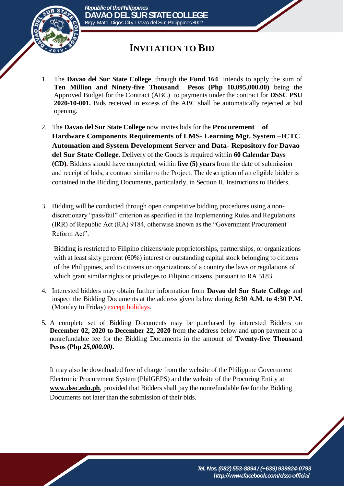

## **INVITATION TO BID**

- 1. The **Davao del Sur State College**, through the **Fund 164** intends to apply the sum of **Ten Million and Ninety-five Thousand Pesos (Php 10,095,000.00)** being the Approved Budget for the Contract (ABC) to payments under the contract for **DSSC PSU 2020-10-001.** Bids received in excess of the ABC shall be automatically rejected at bid opening.
- 2. The **Davao del Sur State College** now invites bids for the **Procurement of Hardware Components Requirements of LMS- Learning Mgt. System –ICTC Automation and System Development Server and Data- Repository for Davao del Sur State College**. Delivery of the Goods is required within **60 Calendar Days (CD).** Bidders should have completed, within **five (5) years** from the date of submission and receipt of bids, a contract similar to the Project. The description of an eligible bidder is contained in the Bidding Documents, particularly, in Section II. Instructions to Bidders.
- 3. Bidding will be conducted through open competitive bidding procedures using a nondiscretionary "pass/fail" criterion as specified in the Implementing Rules and Regulations (IRR) of Republic Act (RA) 9184, otherwise known as the "Government Procurement Reform Act".

Bidding is restricted to Filipino citizens/sole proprietorships, partnerships, or organizations with at least sixty percent (60%) interest or outstanding capital stock belonging to citizens of the Philippines, and to citizens or organizations of a country the laws or regulations of which grant similar rights or privileges to Filipino citizens, pursuant to RA 5183.

- 4. Interested bidders may obtain further information from **Davao del Sur State College** and inspect the Bidding Documents at the address given below during **8:30 A.M. to 4:30 P.M**. (Monday to Friday) except holidays.
- 5. A complete set of Bidding Documents may be purchased by interested Bidders on **December 02, 2020 to December 22, 2020** from the address below and upon payment of a nonrefundable fee for the Bidding Documents in the amount of **Twenty-five Thousand Pesos (Php** *25,000.00)***.**

It may also be downloaded free of charge from the website of the Philippine Government Electronic Procurement System (PhilGEPS) and the website of the Procuring Entity at **[www.dssc.edu.ph](http://www.dssc.edu.ph/)**, provided that Bidders shall pay the nonrefundable fee for the Bidding Documents not later than the submission of their bids.

> *Tel. Nos. (082) 553-8894 / (+639) 939924-0793 http://www.facebook.com/dssc-official*